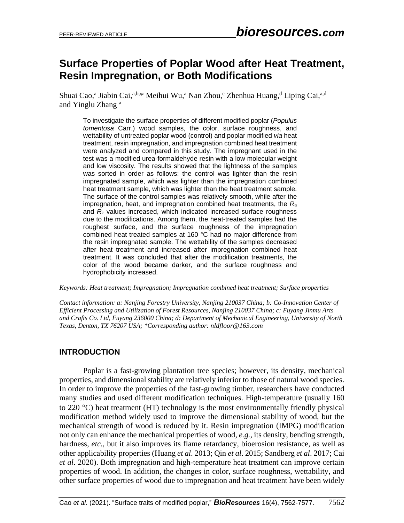# **Surface Properties of Poplar Wood after Heat Treatment, Resin Impregnation, or Both Modifications**

Shuai Cao,<sup>a</sup> Jiabin Cai,<sup>a,b,\*</sup> Meihui Wu,<sup>a</sup> Nan Zhou,<sup>c</sup> Zhenhua Huang,<sup>d</sup> Liping Cai,<sup>a,d</sup> and Yinglu Zhang<sup>a</sup>

To investigate the surface properties of different modified poplar (*Populus tomentosa* Carr.) wood samples, the color, surface roughness, and wettability of untreated poplar wood (control) and poplar modified *via* heat treatment, resin impregnation, and impregnation combined heat treatment were analyzed and compared in this study. The impregnant used in the test was a modified urea-formaldehyde resin with a low molecular weight and low viscosity. The results showed that the lightness of the samples was sorted in order as follows: the control was lighter than the resin impregnated sample, which was lighter than the impregnation combined heat treatment sample, which was lighter than the heat treatment sample. The surface of the control samples was relatively smooth, while after the impregnation, heat, and impregnation combined heat treatments, the *R*<sup>a</sup> and *R*<sup>z</sup> values increased, which indicated increased surface roughness due to the modifications. Among them, the heat-treated samples had the roughest surface, and the surface roughness of the impregnation combined heat treated samples at 160 °C had no major difference from the resin impregnated sample. The wettability of the samples decreased after heat treatment and increased after impregnation combined heat treatment. It was concluded that after the modification treatments, the color of the wood became darker, and the surface roughness and hydrophobicity increased.

*Keywords: Heat treatment; Impregnation; Impregnation combined heat treatment; Surface properties* 

*Contact information: a: Nanjing Forestry University, Nanjing 210037 China; b: Co-Innovation Center of Efficient Processing and Utilization of Forest Resources, Nanjing 210037 China; c: Fuyang Jinmu Arts and Crafts Co. Ltd, Fuyang 236000 China; d: Department of Mechanical Engineering, University of North Texas, Denton, TX 76207 USA; \*Corresponding author: nldfloor@163.com* 

## **INTRODUCTION**

Poplar is a fast-growing plantation tree species; however, its density, mechanical properties, and dimensional stability are relatively inferior to those of natural wood species. In order to improve the properties of the fast-growing timber, researchers have conducted many studies and used different modification techniques. High-temperature (usually 160 to 220  $^{\circ}$ C) heat treatment (HT) technology is the most environmentally friendly physical modification method widely used to improve the dimensional stability of wood, but the mechanical strength of wood is reduced by it. Resin impregnation (IMPG) modification not only can enhance the mechanical properties of wood, *e.g.*, its density, bending strength, hardness, *etc.*, but it also improves its flame retardancy, bioerosion resistance, as well as other applicability properties (Huang *et al*. 2013; Qin *et al*. 2015; Sandberg *et al*. 2017; Cai *et al*. 2020). Both impregnation and high-temperature heat treatment can improve certain properties of wood. In addition, the changes in color, surface roughness, wettability, and other surface properties of wood due to impregnation and heat treatment have been widely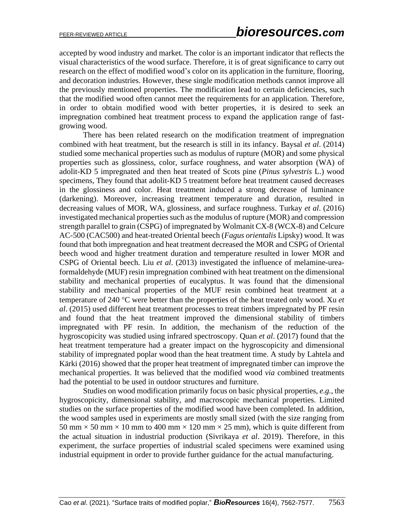accepted by wood industry and market. The color is an important indicator that reflects the visual characteristics of the wood surface. Therefore, it is of great significance to carry out research on the effect of modified wood's color on its application in the furniture, flooring, and decoration industries. However, these single modification methods cannot improve all the previously mentioned properties. The modification lead to certain deficiencies, such that the modified wood often cannot meet the requirements for an application. Therefore, in order to obtain modified wood with better properties, it is desired to seek an impregnation combined heat treatment process to expand the application range of fastgrowing wood.

There has been related research on the modification treatment of impregnation combined with heat treatment, but the research is still in its infancy. Baysal *et al*. (2014) studied some mechanical properties such as modulus of rupture (MOR) and some physical properties such as glossiness, color, surface roughness, and water absorption (WA) of adolit-KD 5 impregnated and then heat treated of Scots pine (*Pinus sylvestris* L.) wood specimens, They found that adolit-KD 5 treatment before heat treatment caused decreases in the glossiness and color. Heat treatment induced a strong decrease of luminance (darkening). Moreover, increasing treatment temperature and duration, resulted in decreasing values of MOR, WA, glossiness, and surface roughness. Turkay *et al*. (2016) investigated mechanical properties such as the modulus of rupture (MOR) and compression strength parallel to grain (CSPG) of impregnated by Wolmanit CX-8 (WCX-8) and Celcure AC-500 (CAC500) and heat-treated Oriental beech (*Fagus orientalis* Lipsky) wood. It was found that both impregnation and heat treatment decreased the MOR and CSPG of Oriental beech wood and higher treatment duration and temperature resulted in lower MOR and CSPG of Oriental beech. Liu *et al*. (2013) investigated the influence of melamine-ureaformaldehyde (MUF) resin impregnation combined with heat treatment on the dimensional stability and mechanical properties of eucalyptus. It was found that the dimensional stability and mechanical properties of the MUF resin combined heat treatment at a temperature of 240 °C were better than the properties of the heat treated only wood. Xu *et al*. (2015) used different heat treatment processes to treat timbers impregnated by PF resin and found that the heat treatment improved the dimensional stability of timbers impregnated with PF resin. In addition, the mechanism of the reduction of the hygroscopicity was studied using infrared spectroscopy. Quan *et al*. (2017) found that the heat treatment temperature had a greater impact on the hygroscopicity and dimensional stability of impregnated poplar wood than the heat treatment time. A study by Lahtela and Kärki (2016) showed that the proper heat treatment of impregnated timber can improve the mechanical properties. It was believed that the modified wood *via* combined treatments had the potential to be used in outdoor structures and furniture.

Studies on wood modification primarily focus on basic physical properties, *e.g.*, the hygroscopicity, dimensional stability, and macroscopic mechanical properties. Limited studies on the surface properties of the modified wood have been completed. In addition, the wood samples used in experiments are mostly small sized (with the size ranging from 50 mm  $\times$  50 mm  $\times$  10 mm to 400 mm  $\times$  120 mm  $\times$  25 mm), which is quite different from the actual situation in industrial production (Sivrikaya *et al*. 2019). Therefore, in this experiment, the surface properties of industrial scaled specimens were examined using industrial equipment in order to provide further guidance for the actual manufacturing.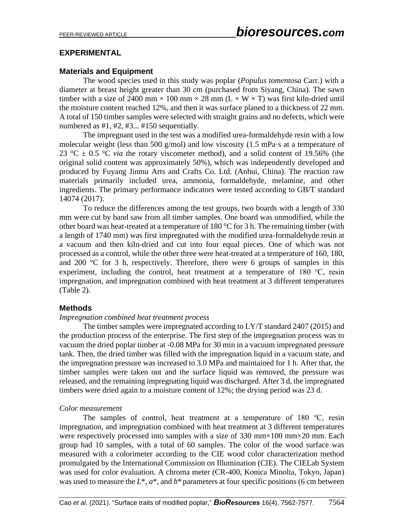## **EXPERIMENTAL**

## **Materials and Equipment**

The wood species used in this study was poplar (*Populus tomentosa* Carr.) with a diameter at breast height greater than 30 cm (purchased from Siyang, China). The sawn timber with a size of 2400 mm  $\times$  100 mm  $\times$  28 mm (L  $\times$  W  $\times$  T) was first kiln-dried until the moisture content reached 12%, and then it was surface planed to a thickness of 22 mm. A total of 150 timber samples were selected with straight grains and no defects, which were numbered as #1, #2, #3... #150 sequentially.

The impregnant used in the test was a modified urea-formaldehyde resin with a low molecular weight (less than 500 g/mol) and low viscosity (1.5 mPa·s at a temperature of 23 °C  $\pm$  0.5 °C *via* the rotary viscometer method), and a solid content of 19.56% (the original solid content was approximately 50%), which was independently developed and produced by Fuyang Jinmu Arts and Crafts Co. Ltd. (Anhui, China). The reaction raw materials primarily included urea, ammonia, formaldehyde, melamine, and other ingredients. The primary performance indicators were tested according to GB/T standard 14074 (2017).

To reduce the differences among the test groups, two boards with a length of 330 mm were cut by band saw from all timber samples. One board was unmodified, while the other board was heat-treated at a temperature of 180 °C for 3 h. The remaining timber (with a length of 1740 mm) was first impregnated with the modified urea-formaldehyde resin at a vacuum and then kiln-dried and cut into four equal pieces. One of which was not processed as a control, while the other three were heat-treated at a temperature of 160, 180, and 200 °C for 3 h, respectively. Therefore, there were 6 groups of samples in this experiment, including the control, heat treatment at a temperature of 180 ℃, resin impregnation, and impregnation combined with heat treatment at 3 different temperatures (Table 2).

### **Methods**

#### *Impregnation combined heat treatment process*

The timber samples were impregnated according to LY/T standard 2407 (2015) and the production process of the enterprise. The first step of the impregnation process was to vacuum the dried poplar timber at -0.08 MPa for 30 min in a vacuum impregnated pressure tank. Then, the dried timber was filled with the impregnation liquid in a vacuum state, and the impregnation pressure was increased to 3.0 MPa and maintained for 1 h. After that, the timber samples were taken out and the surface liquid was removed, the pressure was released, and the remaining impregnating liquid was discharged. After 3 d, the impregnated timbers were dried again to a moisture content of 12%; the drying period was 23 d.

### *Color measurement*

The samples of control, heat treatment at a temperature of 180 ℃, resin impregnation, and impregnation combined with heat treatment at 3 different temperatures were respectively processed into samples with a size of 330 mm×100 mm×20 mm. Each group had 10 samples, with a total of 60 samples. The color of the wood surface was measured with a colorimeter according to the CIE wood color characterization method promulgated by the International Commission on Illumination (CIE). The CIELab System was used for color evaluation. A chroma meter (CR-400, Konica Minolta, Tokyo, Japan) was used to measure the *L*\*, *a*\*, and *b*\* parameters at four specific positions (6 cm between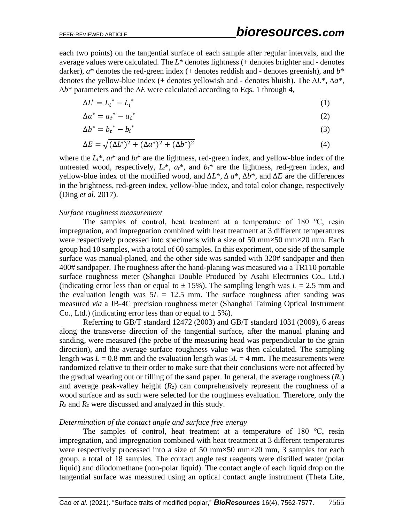each two points) on the tangential surface of each sample after regular intervals, and the average values were calculated. The *L*\* denotes lightness (+ denotes brighter and - denotes darker),  $a^*$  denotes the red-green index (+ denotes reddish and - denotes greenish), and  $b^*$ denotes the yellow-blue index (+ denotes yellowish and - denotes bluish). The ∆*L*\*, ∆*a*\*, ∆*b*\* parameters and the ∆*E* were calculated according to Eqs. 1 through 4,

$$
\Delta L^* = L_t^* - L_t^* \tag{1}
$$

$$
\Delta a^* = a_t^* - a_i^* \tag{2}
$$

$$
\Delta b^* = b_t^* - b_i^* \tag{3}
$$

$$
\Delta E = \sqrt{(\Delta L^*)^2 + (\Delta a^*)^2 + (\Delta b^*)^2}
$$
 (4)

where the  $L_i^*$ ,  $a_i^*$  and  $b_i^*$  are the lightness, red-green index, and yellow-blue index of the untreated wood, respectively,  $L_t^*$ ,  $a_t^*$ , and  $b_t^*$  are the lightness, red-green index, and yellow-blue index of the modified wood, and ∆*L*\*, ∆ *a*\*, ∆*b*\*, and ∆*E* are the differences in the brightness, red-green index, yellow-blue index, and total color change, respectively (Ding *et al*. 2017).

#### *Surface roughness measurement*

The samples of control, heat treatment at a temperature of 180 ℃, resin impregnation, and impregnation combined with heat treatment at 3 different temperatures were respectively processed into specimens with a size of 50 mm×50 mm×20 mm. Each group had 10 samples, with a total of 60 samples. In this experiment, one side of the sample surface was manual-planed, and the other side was sanded with 320# sandpaper and then 400# sandpaper. The roughness after the hand-planing was measured *via* a TR110 portable surface roughness meter (Shanghai Double Produced by Asahi Electronics Co., Ltd.) (indicating error less than or equal to  $\pm$  15%). The sampling length was  $L = 2.5$  mm and the evaluation length was  $5L = 12.5$  mm. The surface roughness after sanding was measured *via* a JB-4C precision roughness meter (Shanghai Taiming Optical Instrument Co., Ltd.) (indicating error less than or equal to  $\pm$  5%).

Referring to GB/T standard 12472 (2003) and GB/T standard 1031 (2009), 6 areas along the transverse direction of the tangential surface, after the manual planing and sanding, were measured (the probe of the measuring head was perpendicular to the grain direction), and the average surface roughness value was then calculated. The sampling length was  $L = 0.8$  mm and the evaluation length was  $5L = 4$  mm. The measurements were randomized relative to their order to make sure that their conclusions were not affected by the gradual wearing out or filling of the sand paper. In general, the average roughness (*R*a) and average peak-valley height  $(R<sub>z</sub>)$  can comprehensively represent the roughness of a wood surface and as such were selected for the roughness evaluation. Therefore, only the *R*<sup>a</sup> and *R*<sup>z</sup> were discussed and analyzed in this study.

#### *Determination of the contact angle and surface free energy*

The samples of control, heat treatment at a temperature of 180 ℃, resin impregnation, and impregnation combined with heat treatment at 3 different temperatures were respectively processed into a size of 50 mm×50 mm×20 mm, 3 samples for each group, a total of 18 samples. The contact angle test reagents were distilled water (polar liquid) and diiodomethane (non-polar liquid). The contact angle of each liquid drop on the tangential surface was measured using an optical contact angle instrument (Theta Lite,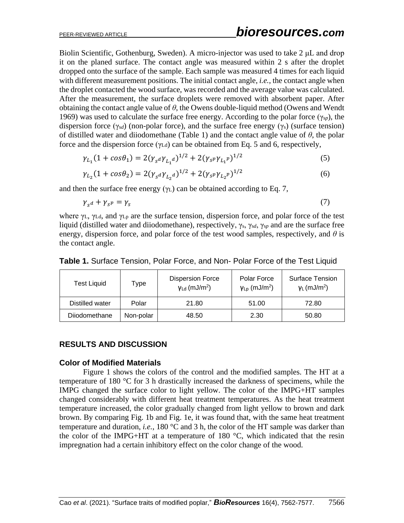Biolin Scientific, Gothenburg, Sweden). A micro-injector was used to take 2 μL and drop it on the planed surface. The contact angle was measured within 2 s after the droplet dropped onto the surface of the sample. Each sample was measured 4 times for each liquid with different measurement positions. The initial contact angle, *i.e.*, the contact angle when the droplet contacted the wood surface, was recorded and the average value was calculated. After the measurement, the surface droplets were removed with absorbent paper. After obtaining the contact angle value of  $\theta$ , the Owens double-liquid method (Owens and Wendt) 1969) was used to calculate the surface free energy. According to the polar force (γs*p*), the dispersion force (γs*d*) (non-polar force), and the surface free energy (γs) (surface tension) of distilled water and diiodomethane (Table 1) and the contact angle value of *θ*, the polar force and the dispersion force  $(\gamma_{Ld})$  can be obtained from Eq. 5 and 6, respectively,

$$
\gamma_{L_1}(1 + \cos \theta_1) = 2(\gamma_s a \gamma_{L_1} a)^{1/2} + 2(\gamma_s p \gamma_{L_1} p)^{1/2}
$$
\n(5)

$$
\gamma_{L_2}(1 + \cos \theta_2) = 2(\gamma_{s^d} \gamma_{L_2^d})^{1/2} + 2(\gamma_{s^p} \gamma_{L_2^p})^{1/2}
$$
(6)

and then the surface free energy  $(\gamma_L)$  can be obtained according to Eq. 7,

$$
\gamma_{s^d} + \gamma_{s^p} = \gamma_s \tag{7}
$$

where  $\gamma_L$ ,  $\gamma_{Ld}$ , and  $\gamma_{Lp}$  are the surface tension, dispersion force, and polar force of the test liquid (distilled water and diiodomethane), respectively, γs, γs*d*, γs*<sup>p</sup>* and are the surface free energy, dispersion force, and polar force of the test wood samples, respectively, and  $\theta$  is the contact angle.

**Table 1.** Surface Tension, Polar Force, and Non- Polar Force of the Test Liquid

| <b>Test Liquid</b> | Type      | <b>Dispersion Force</b><br>$V_{\text{Ld}}$ (mJ/m <sup>2</sup> ) | Polar Force<br>$y_{\text{Lp}}$ (mJ/m <sup>2</sup> ) | <b>Surface Tension</b><br>$VL$ (mJ/m <sup>2</sup> ) |
|--------------------|-----------|-----------------------------------------------------------------|-----------------------------------------------------|-----------------------------------------------------|
| Distilled water    | Polar     | 21.80                                                           | 51.00                                               | 72.80                                               |
| Dijodomethane      | Non-polar | 48.50                                                           | 2.30                                                | 50.80                                               |

### **RESULTS AND DISCUSSION**

#### **Color of Modified Materials**

Figure 1 shows the colors of the control and the modified samples. The HT at a temperature of 180 °C for 3 h drastically increased the darkness of specimens, while the IMPG changed the surface color to light yellow. The color of the IMPG+HT samples changed considerably with different heat treatment temperatures. As the heat treatment temperature increased, the color gradually changed from light yellow to brown and dark brown. By comparing Fig. 1b and Fig. 1e, it was found that, with the same heat treatment temperature and duration, *i.e.*, 180 °C and 3 h, the color of the HT sample was darker than the color of the IMPG+HT at a temperature of 180  $^{\circ}$ C, which indicated that the resin impregnation had a certain inhibitory effect on the color change of the wood.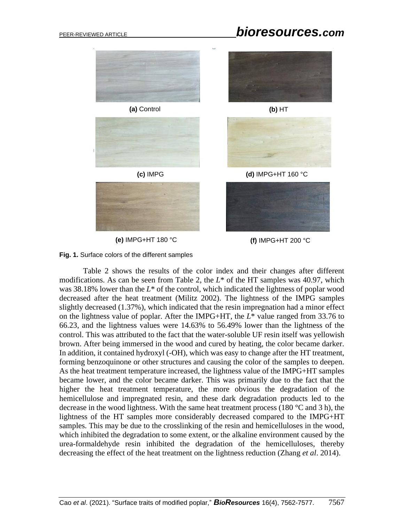# PEER-REVIEWED ARTICLE *bioresources.com*



**(e)** IMPG+HT 180 °C **(f)** IMPG+HT 200 °C



Table 2 shows the results of the color index and their changes after different modifications. As can be seen from Table 2, the *L*\* of the HT samples was 40.97, which was 38.18% lower than the *L*\* of the control, which indicated the lightness of poplar wood decreased after the heat treatment (Militz 2002). The lightness of the IMPG samples slightly decreased (1.37%), which indicated that the resin impregnation had a minor effect on the lightness value of poplar. After the IMPG+HT, the *L*\* value ranged from 33.76 to 66.23, and the lightness values were 14.63% to 56.49% lower than the lightness of the control. This was attributed to the fact that the water-soluble UF resin itself was yellowish brown. After being immersed in the wood and cured by heating, the color became darker. In addition, it contained hydroxyl (-OH), which was easy to change after the HT treatment, forming benzoquinone or other structures and causing the color of the samples to deepen. As the heat treatment temperature increased, the lightness value of the IMPG+HT samples became lower, and the color became darker. This was primarily due to the fact that the higher the heat treatment temperature, the more obvious the degradation of the hemicellulose and impregnated resin, and these dark degradation products led to the decrease in the wood lightness. With the same heat treatment process (180 °C and 3 h), the lightness of the HT samples more considerably decreased compared to the IMPG+HT samples. This may be due to the crosslinking of the resin and hemicelluloses in the wood, which inhibited the degradation to some extent, or the alkaline environment caused by the urea-formaldehyde resin inhibited the degradation of the hemicelluloses, thereby decreasing the effect of the heat treatment on the lightness reduction (Zhang *et al*. 2014).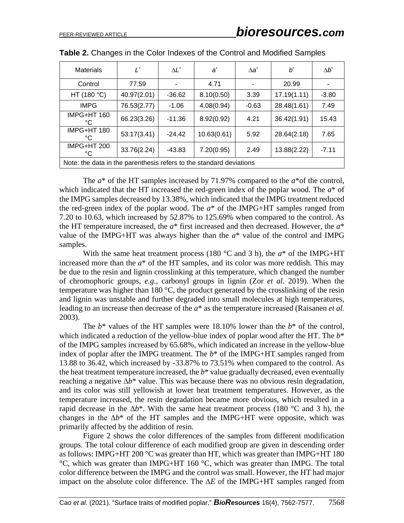| <b>Materials</b>                                                    | Ľ           | $\Delta L^*$ | $a^*$       | $\Delta a^*$ | $b^*$       | $\Delta b^*$ |
|---------------------------------------------------------------------|-------------|--------------|-------------|--------------|-------------|--------------|
| Control                                                             | 77.59       |              | 4.71        |              | 20.99       |              |
| HT (180 $^{\circ}$ C)                                               | 40.97(2.01) | $-36.62$     | 8.10(0.50)  | 3.39         | 17.19(1.11) | $-3.80$      |
| <b>IMPG</b>                                                         | 76.53(2.77) | $-1.06$      | 4.08(0.94)  | $-0.63$      | 28.48(1.61) | 7.49         |
| IMPG+HT 160<br>°C                                                   | 66.23(3.26) | $-11.36$     | 8.92(0.92)  | 4.21         | 36.42(1.91) | 15.43        |
| IMPG+HT 180<br>°C                                                   | 53.17(3.41) | $-24.42$     | 10.63(0.61) | 5.92         | 28.64(2.18) | 7.65         |
| IMPG+HT 200<br>°C                                                   | 33.76(2.24) | $-43.83$     | 7.20(0.95)  | 2.49         | 13.88(2.22) | $-7.11$      |
| Note: the data in the parenthesis refers to the standard deviations |             |              |             |              |             |              |

| Table 2. Changes in the Color Indexes of the Control and Modified Samples |  |  |  |
|---------------------------------------------------------------------------|--|--|--|
|---------------------------------------------------------------------------|--|--|--|

The *a*\* of the HT samples increased by 71.97% compared to the *a*\*of the control, which indicated that the HT increased the red-green index of the poplar wood. The *a*\* of the IMPG samples decreased by 13.38%, which indicated that the IMPG treatment reduced the red-green index of the poplar wood. The  $a^*$  of the IMPG+HT samples ranged from 7.20 to 10.63, which increased by 52.87% to 125.69% when compared to the control. As the HT temperature increased, the *a*\* first increased and then decreased. However, the *a*\* value of the IMPG+HT was always higher than the  $a^*$  value of the control and IMPG samples.

With the same heat treatment process (180  $\degree$ C and 3 h), the  $a^*$  of the IMPG+HT increased more than the *a*\* of the HT samples, and its color was more reddish. This may be due to the resin and lignin crosslinking at this temperature, which changed the number of chromophoric groups, *e.g.*, carbonyl groups in lignin (Zor *et al*. 2019). When the temperature was higher than 180 °C, the product generated by the crosslinking of the resin and lignin was unstable and further degraded into small molecules at high temperatures, leading to an increase then decrease of the *a*\* as the temperature increased (Raisanen *et al.* 2003).

The *b*\* values of the HT samples were 18.10% lower than the *b*\* of the control, which indicated a reduction of the yellow-blue index of poplar wood after the HT. The *b*\* of the IMPG samples increased by 65.68%, which indicated an increase in the yellow-blue index of poplar after the IMPG treatment. The  $b^*$  of the IMPG+HT samples ranged from 13.88 to 36.42, which increased by -33.87% to 73.51% when compared to the control. As the heat treatment temperature increased, the  $b^*$  value gradually decreased, even eventually reaching a negative ∆*b*\* value. This was because there was no obvious resin degradation, and its color was still yellowish at lower heat treatment temperatures. However, as the temperature increased, the resin degradation became more obvious, which resulted in a rapid decrease in the ∆*b*\*. With the same heat treatment process (180 °C and 3 h), the changes in the ∆*b*\* of the HT samples and the IMPG+HT were opposite, which was primarily affected by the addition of resin.

Figure 2 shows the color differences of the samples from different modification groups. The total colour difference of each modified group are given in descending order as follows: IMPG+HT 200 °C was greater than HT, which was greater than IMPG+HT 180 °C, which was greater than IMPG+HT 160 °C, which was greater than IMPG. The total color difference between the IMPG and the control was small. However, the HT had major impact on the absolute color difference. The ∆*E* of the IMPG+HT samples ranged from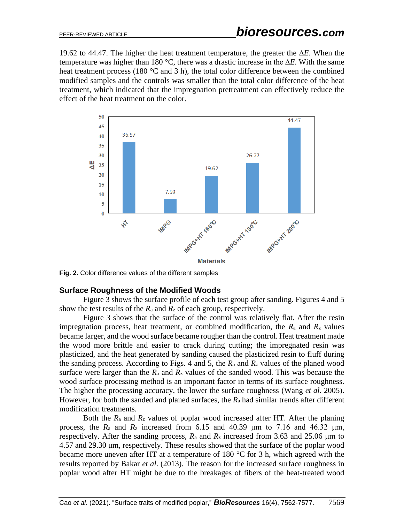19.62 to 44.47. The higher the heat treatment temperature, the greater the ∆*E*. When the temperature was higher than 180 °C, there was a drastic increase in the ∆*E*. With the same heat treatment process (180 °C and 3 h), the total color difference between the combined modified samples and the controls was smaller than the total color difference of the heat treatment, which indicated that the impregnation pretreatment can effectively reduce the effect of the heat treatment on the color.



**Fig. 2.** Color difference values of the different samples

### **Surface Roughness of the Modified Woods**

Figure 3 shows the surface profile of each test group after sanding. Figures 4 and 5 show the test results of the  $R_a$  and  $R_z$  of each group, respectively.

Figure 3 shows that the surface of the control was relatively flat. After the resin impregnation process, heat treatment, or combined modification, the  $R_a$  and  $R_z$  values became larger, and the wood surface became rougher than the control. Heat treatment made the wood more brittle and easier to crack during cutting; the impregnated resin was plasticized, and the heat generated by sanding caused the plasticized resin to fluff during the sanding process. According to Figs. 4 and 5, the  $R_a$  and  $R_z$  values of the planed wood surface were larger than the  $R_a$  and  $R_z$  values of the sanded wood. This was because the wood surface processing method is an important factor in terms of its surface roughness. The higher the processing accuracy, the lower the surface roughness (Wang *et al*. 2005). However, for both the sanded and planed surfaces, the *R*<sup>a</sup> had similar trends after different modification treatments.

Both the *R*<sup>a</sup> and *R*<sup>z</sup> values of poplar wood increased after HT. After the planing process, the  $R_a$  and  $R_z$  increased from 6.15 and 40.39  $\mu$ m to 7.16 and 46.32  $\mu$ m, respectively. After the sanding process,  $R_a$  and  $R_z$  increased from 3.63 and 25.06  $\mu$ m to 4.57 and 29.30 μm, respectively. These results showed that the surface of the poplar wood became more uneven after HT at a temperature of 180 °C for 3 h, which agreed with the results reported by Bakar *et al*. (2013). The reason for the increased surface roughness in poplar wood after HT might be due to the breakages of fibers of the heat-treated wood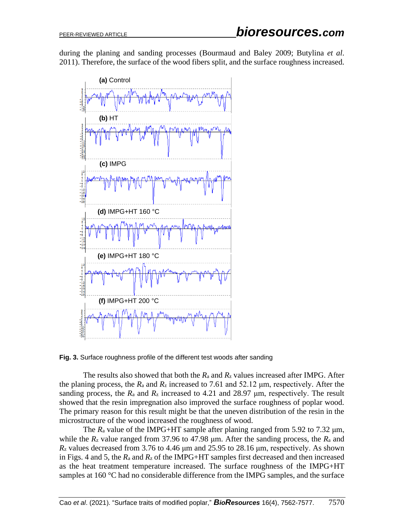during the planing and sanding processes (Bourmaud and Baley 2009; Butylina *et al*. 2011). Therefore, the surface of the wood fibers split, and the surface roughness increased.



**Fig. 3.** Surface roughness profile of the different test woods after sanding

The results also showed that both the *R*<sup>a</sup> and *R*<sup>z</sup> values increased after IMPG. After the planing process, the *R*<sup>a</sup> and *R*<sup>z</sup> increased to 7.61 and 52.12 μm, respectively. After the sanding process, the  $R_a$  and  $R_z$  increased to 4.21 and 28.97  $\mu$ m, respectively. The result showed that the resin impregnation also improved the surface roughness of poplar wood. The primary reason for this result might be that the uneven distribution of the resin in the microstructure of the wood increased the roughness of wood.

The  $R_a$  value of the IMPG+HT sample after planing ranged from 5.92 to 7.32  $\mu$ m, while the *R*<sup>z</sup> value ranged from 37.96 to 47.98 μm. After the sanding process, the *R*<sup>a</sup> and *R*<sup>z</sup> values decreased from 3.76 to 4.46 μm and 25.95 to 28.16 μm, respectively. As shown in Figs. 4 and 5, the  $R_a$  and  $R_z$  of the IMPG+HT samples first decreased and then increased as the heat treatment temperature increased. The surface roughness of the IMPG+HT samples at 160 °C had no considerable difference from the IMPG samples, and the surface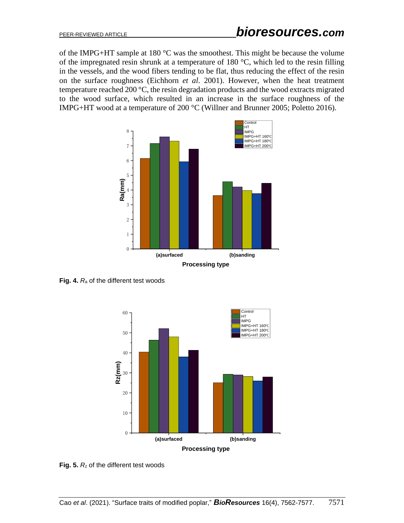of the IMPG+HT sample at 180 °C was the smoothest. This might be because the volume of the impregnated resin shrunk at a temperature of 180 °C, which led to the resin filling in the vessels, and the wood fibers tending to be flat, thus reducing the effect of the resin on the surface roughness (Eichhorn *et al*. 2001). However, when the heat treatment temperature reached 200 °C, the resin degradation products and the wood extracts migrated to the wood surface, which resulted in an increase in the surface roughness of the IMPG+HT wood at a temperature of 200 °C (Willner and Brunner 2005; Poletto 2016).



**Fig. 4.** *R*<sup>a</sup> of the different test woods



**Fig. 5.** *R*<sup>z</sup> of the different test woods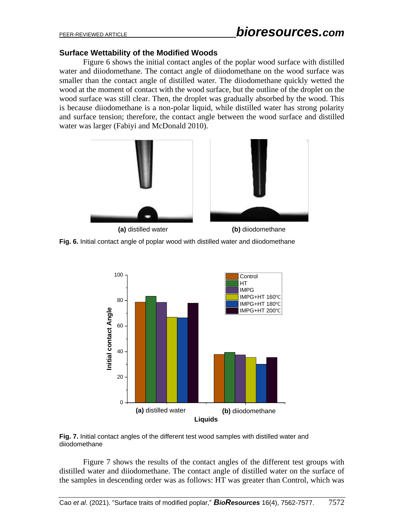#### **Surface Wettability of the Modified Woods**

Figure 6 shows the initial contact angles of the poplar wood surface with distilled water and diiodomethane. The contact angle of diiodomethane on the wood surface was smaller than the contact angle of distilled water. The diiodomethane quickly wetted the wood at the moment of contact with the wood surface, but the outline of the droplet on the wood surface was still clear. Then, the droplet was gradually absorbed by the wood. This is because diiodomethane is a non-polar liquid, while distilled water has strong polarity and surface tension; therefore, the contact angle between the wood surface and distilled water was larger (Fabiyi and McDonald 2010).







**Fig. 7.** Initial contact angles of the different test wood samples with distilled water and diiodomethane

Figure 7 shows the results of the contact angles of the different test groups with distilled water and diiodomethane. The contact angle of distilled water on the surface of the samples in descending order was as follows: HT was greater than Control, which was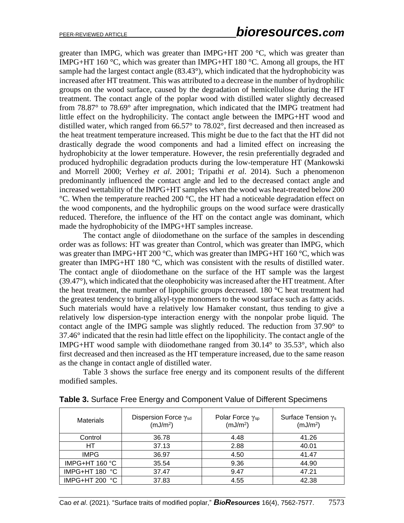greater than IMPG, which was greater than IMPG+HT 200  $^{\circ}$ C, which was greater than IMPG+HT 160  $\degree$ C, which was greater than IMPG+HT 180  $\degree$ C. Among all groups, the HT sample had the largest contact angle (83.43°), which indicated that the hydrophobicity was increased after HT treatment. This was attributed to a decrease in the number of hydrophilic groups on the wood surface, caused by the degradation of hemicellulose during the HT treatment. The contact angle of the poplar wood with distilled water slightly decreased from 78.87° to 78.69° after impregnation, which indicated that the IMPG treatment had little effect on the hydrophilicity. The contact angle between the IMPG+HT wood and distilled water, which ranged from 66.57° to 78.02°, first decreased and then increased as the heat treatment temperature increased. This might be due to the fact that the HT did not drastically degrade the wood components and had a limited effect on increasing the hydrophobicity at the lower temperature. However, the resin preferentially degraded and produced hydrophilic degradation products during the low-temperature HT (Mankowski and Morrell 2000; Verhey *et al*. 2001; Tripathi *et al*. 2014). Such a phenomenon predominantly influenced the contact angle and led to the decreased contact angle and increased wettability of the IMPG+HT samples when the wood was heat-treated below 200 °C. When the temperature reached 200 °C, the HT had a noticeable degradation effect on the wood components, and the hydrophilic groups on the wood surface were drastically reduced. Therefore, the influence of the HT on the contact angle was dominant, which made the hydrophobicity of the IMPG+HT samples increase.

The contact angle of diiodomethane on the surface of the samples in descending order was as follows: HT was greater than Control, which was greater than IMPG, which was greater than IMPG+HT 200  $\degree$ C, which was greater than IMPG+HT 160  $\degree$ C, which was greater than IMPG+HT 180 °C, which was consistent with the results of distilled water. The contact angle of diiodomethane on the surface of the HT sample was the largest (39.47°), which indicated that the oleophobicity was increased after the HT treatment. After the heat treatment, the number of lipophilic groups decreased. 180 °C heat treatment had the greatest tendency to bring alkyl-type monomers to the wood surface such as fatty acids. Such materials would have a relatively low Hamaker constant, thus tending to give a relatively low dispersion-type interaction energy with the nonpolar probe liquid. The contact angle of the IMPG sample was slightly reduced. The reduction from 37.90° to 37.46° indicated that the resin had little effect on the lipophilicity. The contact angle of the IMPG+HT wood sample with diiodomethane ranged from 30.14° to 35.53°, which also first decreased and then increased as the HT temperature increased, due to the same reason as the change in contact angle of distilled water.

Table 3 shows the surface free energy and its component results of the different modified samples.

| <b>Materials</b> | Dispersion Force Ysd<br>(mJ/m <sup>2</sup> ) | Polar Force $\gamma_{sp}$<br>(mJ/m <sup>2</sup> ) | Surface Tension $\gamma_s$<br>(mJ/m <sup>2</sup> ) |
|------------------|----------------------------------------------|---------------------------------------------------|----------------------------------------------------|
| Control          | 36.78                                        | 4.48                                              | 41.26                                              |
| HT.              | 37.13                                        | 2.88                                              | 40.01                                              |
| <b>IMPG</b>      | 36.97                                        | 4.50                                              | 41.47                                              |
| IMPG+HT 160 °C   | 35.54                                        | 9.36                                              | 44.90                                              |
| IMPG+HT 180 °C   | 37.47                                        | 9.47                                              | 47.21                                              |
| IMPG+HT 200 °C   | 37.83                                        | 4.55                                              | 42.38                                              |

**Table 3.** Surface Free Energy and Component Value of Different Specimens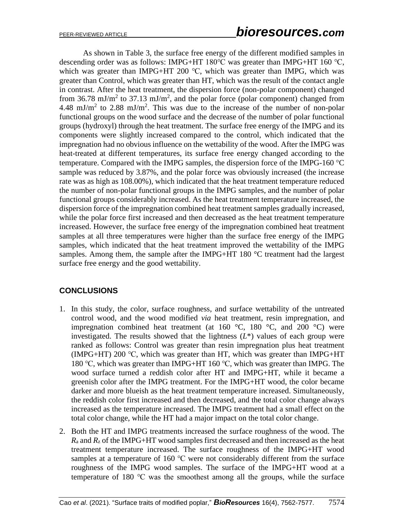As shown in Table 3, the surface free energy of the different modified samples in descending order was as follows: IMPG+HT 180℃ was greater than IMPG+HT 160 ℃, which was greater than IMPG+HT 200 °C, which was greater than IMPG, which was greater than Control, which was greater than HT, which was the result of the contact angle in contrast. After the heat treatment, the dispersion force (non-polar component) changed from 36.78 mJ/m<sup>2</sup> to 37.13 mJ/m<sup>2</sup>, and the polar force (polar component) changed from 4.48 mJ/m<sup>2</sup> to 2.88 mJ/m<sup>2</sup>. This was due to the increase of the number of non-polar functional groups on the wood surface and the decrease of the number of polar functional groups (hydroxyl) through the heat treatment. The surface free energy of the IMPG and its components were slightly increased compared to the control, which indicated that the impregnation had no obvious influence on the wettability of the wood. After the IMPG was heat-treated at different temperatures, its surface free energy changed according to the temperature. Compared with the IMPG samples, the dispersion force of the IMPG-160  $^{\circ}$ C sample was reduced by 3.87%, and the polar force was obviously increased (the increase rate was as high as 108.00%), which indicated that the heat treatment temperature reduced the number of non-polar functional groups in the IMPG samples, and the number of polar functional groups considerably increased. As the heat treatment temperature increased, the dispersion force of the impregnation combined heat treatment samples gradually increased, while the polar force first increased and then decreased as the heat treatment temperature increased. However, the surface free energy of the impregnation combined heat treatment samples at all three temperatures were higher than the surface free energy of the IMPG samples, which indicated that the heat treatment improved the wettability of the IMPG samples. Among them, the sample after the IMPG+HT 180 °C treatment had the largest surface free energy and the good wettability.

## **CONCLUSIONS**

- 1. In this study, the color, surface roughness, and surface wettability of the untreated control wood, and the wood modified *via* heat treatment, resin impregnation, and impregnation combined heat treatment (at  $160^{\circ}$ C,  $180^{\circ}$ C, and  $200^{\circ}$ C) were investigated. The results showed that the lightness  $(L^*)$  values of each group were ranked as follows: Control was greater than resin impregnation plus heat treatment (IMPG+HT) 200 ℃, which was greater than HT, which was greater than IMPG+HT 180 ℃, which was greater than IMPG+HT 160 ℃, which was greater than IMPG. The wood surface turned a reddish color after HT and IMPG+HT, while it became a greenish color after the IMPG treatment. For the IMPG+HT wood, the color became darker and more blueish as the heat treatment temperature increased. Simultaneously, the reddish color first increased and then decreased, and the total color change always increased as the temperature increased. The IMPG treatment had a small effect on the total color change, while the HT had a major impact on the total color change.
- 2. Both the HT and IMPG treatments increased the surface roughness of the wood. The *R*<sup>a</sup> and *R*<sup>z</sup> of the IMPG+HT wood samples first decreased and then increased as the heat treatment temperature increased. The surface roughness of the IMPG+HT wood samples at a temperature of 160 °C were not considerably different from the surface roughness of the IMPG wood samples. The surface of the IMPG+HT wood at a temperature of 180 ℃ was the smoothest among all the groups, while the surface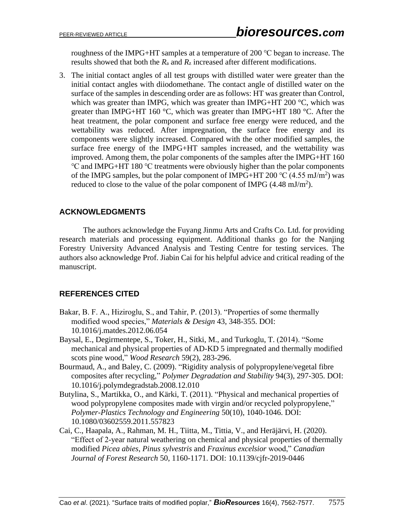roughness of the IMPG+HT samples at a temperature of 200 ℃ began to increase. The results showed that both the *R*<sup>a</sup> and *R*<sup>z</sup> increased after different modifications.

3. The initial contact angles of all test groups with distilled water were greater than the initial contact angles with diiodomethane. The contact angle of distilled water on the surface of the samples in descending order are as follows: HT was greater than Control, which was greater than IMPG, which was greater than IMPG+HT 200  $\degree$ C, which was greater than IMPG+HT 160  $^{\circ}$ C, which was greater than IMPG+HT 180  $^{\circ}$ C. After the heat treatment, the polar component and surface free energy were reduced, and the wettability was reduced. After impregnation, the surface free energy and its components were slightly increased. Compared with the other modified samples, the surface free energy of the IMPG+HT samples increased, and the wettability was improved. Among them, the polar components of the samples after the IMPG+HT 160 ℃ and IMPG+HT 180 ℃ treatments were obviously higher than the polar components of the IMPG samples, but the polar component of IMPG+HT 200 °C (4.55 mJ/m<sup>2</sup>) was reduced to close to the value of the polar component of IMPG  $(4.48 \text{ mJ/m}^2)$ .

# **ACKNOWLEDGMENTS**

The authors acknowledge the Fuyang Jinmu Arts and Crafts Co. Ltd. for providing research materials and processing equipment. Additional thanks go for the Nanjing Forestry University Advanced Analysis and Testing Centre for testing services. The authors also acknowledge Prof. Jiabin Cai for his helpful advice and critical reading of the manuscript.

# **REFERENCES CITED**

- Bakar, B. F. A., Hiziroglu, S., and Tahir, P. (2013). "Properties of some thermally modified wood species," *Materials & Design* 43, 348-355. DOI: 10.1016/j.matdes.2012.06.054
- Baysal, E., Degirmentepe, S., Toker, H., Sitki, M., and Turkoglu, T. (2014). "Some mechanical and physical properties of AD-KD 5 impregnated and thermally modified scots pine wood," *Wood Research* 59(2), 283-296.
- Bourmaud, A., and Baley, C. (2009). "Rigidity analysis of polypropylene/vegetal fibre composites after recycling," *Polymer Degradation and Stability* 94(3), 297-305. DOI: 10.1016/j.polymdegradstab.2008.12.010
- Butylina, S., Martikka, O., and Kärki, T. (2011). "Physical and mechanical properties of wood polypropylene composites made with virgin and/or recycled polypropylene," *Polymer-Plastics Technology and Engineering* 50(10), 1040-1046. DOI: 10.1080/03602559.2011.557823
- Cai, C., Haapala, A., Rahman, M. H., Tiitta, M., Tittia, V., and Heräjärvi, H. (2020). "Effect of 2-year natural weathering on chemical and physical properties of thermally modified *Picea abies*, *Pinus sylvestris* and *Fraxinus excelsior* wood," *Canadian Journal of Forest Research* 50, 1160-1171. DOI: 10.1139/cjfr-2019-0446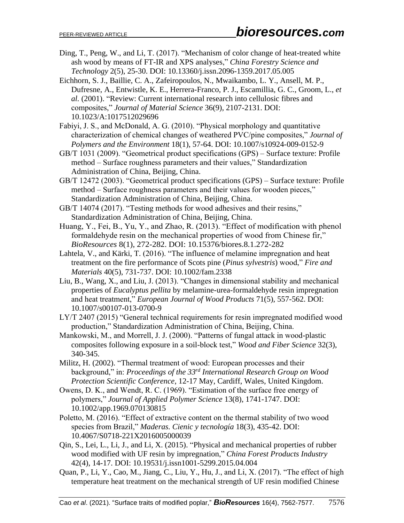- Ding, T., Peng, W., and Li, T. (2017). "Mechanism of color change of heat-treated white ash wood by means of FT-IR and XPS analyses," *China Forestry Science and Technology* 2(5), 25-30. DOI: 10.13360/j.issn.2096-1359.2017.05.005
- Eichhorn, S. J., Baillie, C. A., Zafeiropoulos, N., Mwaikambo, L. Y., Ansell, M. P., Dufresne, A., Entwistle, K. E., Herrera-Franco, P. J., Escamillia, G. C., Groom, L., *et al.* (2001). "Review: Current international research into cellulosic fibres and composites," *Journal of Material Science* 36(9), 2107-2131. DOI: 10.1023/A:1017512029696
- Fabiyi, J. S., and McDonald, A. G. (2010). "Physical morphology and quantitative characterization of chemical changes of weathered PVC/pine composites," *Journal of Polymers and the Environment* 18(1), 57-64. DOI: 10.1007/s10924-009-0152-9
- GB/T 1031 (2009). "Geometrical product specifications (GPS) Surface texture: Profile method – Surface roughness parameters and their values," Standardization Administration of China, Beijing, China.
- GB/T 12472 (2003). "Geometrical product specifications (GPS) Surface texture: Profile method – Surface roughness parameters and their values for wooden pieces," Standardization Administration of China, Beijing, China.
- GB/T 14074 (2017). "Testing methods for wood adhesives and their resins," Standardization Administration of China, Beijing, China.
- Huang, Y., Fei, B., Yu, Y., and Zhao, R. (2013). "Effect of modification with phenol formaldehyde resin on the mechanical properties of wood from Chinese fir," *BioResources* 8(1), 272-282. DOI: 10.15376/biores.8.1.272-282
- Lahtela, V., and Kärki, T. (2016). "The influence of melamine impregnation and heat treatment on the fire performance of Scots pine (*Pinus sylvestris*) wood," *Fire and Materials* 40(5), 731-737. DOI: 10.1002/fam.2338
- Liu, B., Wang, X., and Liu, J. (2013). "Changes in dimensional stability and mechanical properties of *Eucalyptus pellita* by melamine-urea-formaldehyde resin impregnation and heat treatment," *European Journal of Wood Products* 71(5), 557-562. DOI: 10.1007/s00107-013-0700-9
- LY/T 2407 (2015) "General technical requirements for resin impregnated modified wood production," Standardization Administration of China, Beijing, China.
- Mankowski, M., and Morrell, J. J. (2000). "Patterns of fungal attack in wood-plastic composites following exposure in a soil-block test," *Wood and Fiber Science* 32(3), 340-345.
- Militz, H. (2002). "Thermal treatment of wood: European processes and their background," in: *Proceedings of the 33rd International Research Group on Wood Protection Scientific Conference*, 12-17 May, Cardiff, Wales, United Kingdom.
- Owens, D. K., and Wendt, R. C. (1969). "Estimation of the surface free energy of polymers," *Journal of Applied Polymer Science* 13(8), 1741-1747. DOI: 10.1002/app.1969.070130815
- Poletto, M. (2016). "Effect of extractive content on the thermal stability of two wood species from Brazil," *Maderas. Cienic y tecnología* 18(3), 435-42. DOI: 10.4067/S0718-221X2016005000039
- Qin, S., Lei, L., Li, J., and Li, X. (2015). "Physical and mechanical properties of rubber wood modified with UF resin by impregnation," *China Forest Products Industry* 42(4), 14-17. DOI: 10.19531/j.issn1001-5299.2015.04.004
- Quan, P., Li, Y., Cao, M., Jiang, C., Liu, Y., Hu, J., and Li, X. (2017). "The effect of high temperature heat treatment on the mechanical strength of UF resin modified Chinese